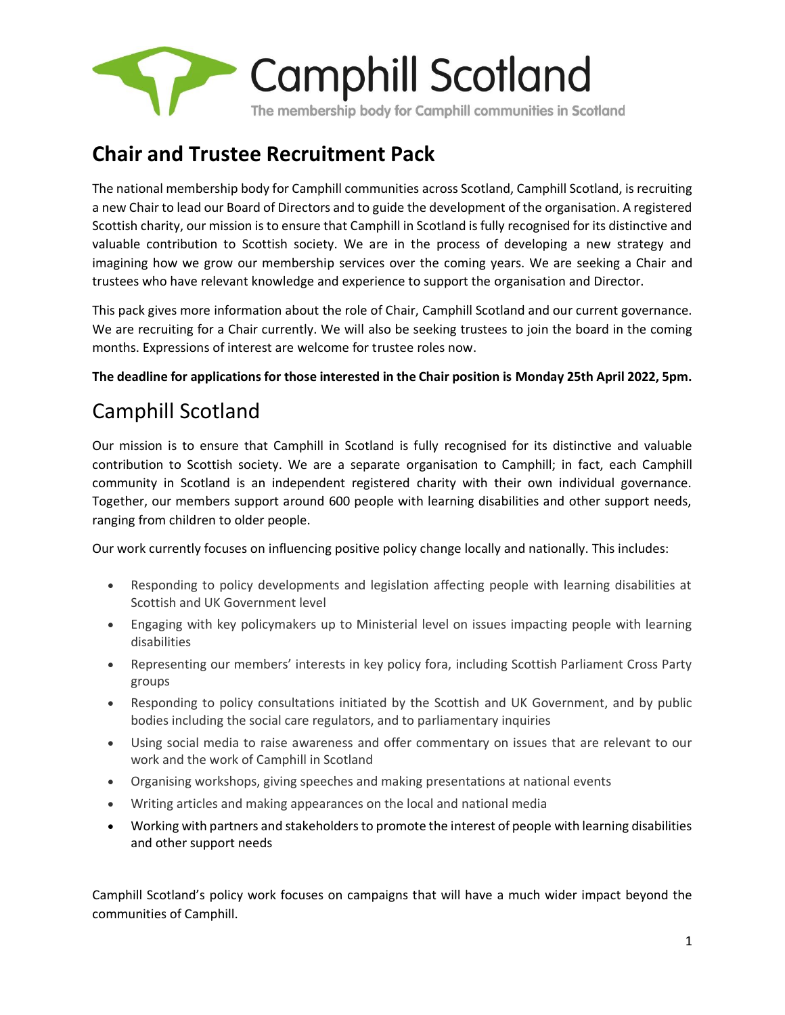

## **Chair and Trustee Recruitment Pack**

The national membership body for Camphill communities across Scotland, Camphill Scotland, is recruiting a new Chair to lead our Board of Directors and to guide the development of the organisation. A registered Scottish charity, our mission is to ensure that Camphill in Scotland is fully recognised for its distinctive and valuable contribution to Scottish society. We are in the process of developing a new strategy and imagining how we grow our membership services over the coming years. We are seeking a Chair and trustees who have relevant knowledge and experience to support the organisation and Director.

This pack gives more information about the role of Chair, Camphill Scotland and our current governance. We are recruiting for a Chair currently. We will also be seeking trustees to join the board in the coming months. Expressions of interest are welcome for trustee roles now.

**The deadline for applications for those interested in the Chair position is Monday 25th April 2022, 5pm.**

# Camphill Scotland

Our mission is to ensure that Camphill in Scotland is fully recognised for its distinctive and valuable contribution to Scottish society. We are a separate organisation to Camphill; in fact, each Camphill community in Scotland is an independent registered charity with their own individual governance. Together, our members support around 600 people with learning disabilities and other support needs, ranging from children to older people.

Our work currently focuses on influencing positive policy change locally and nationally. This includes:

- Responding to policy developments and legislation affecting people with learning disabilities at Scottish and UK Government level
- Engaging with key policymakers up to Ministerial level on issues impacting people with learning disabilities
- Representing our members' interests in key policy fora, including Scottish Parliament Cross Party groups
- Responding to policy consultations initiated by the Scottish and UK Government, and by public bodies including the social care regulators, and to parliamentary inquiries
- Using social media to raise awareness and offer commentary on issues that are relevant to our work and the work of Camphill in Scotland
- Organising workshops, giving speeches and making presentations at national events
- Writing articles and making appearances on the local and national media
- Working with partners and stakeholders to promote the interest of people with learning disabilities and other support needs

Camphill Scotland's policy work focuses on campaigns that will have a much wider impact beyond the communities of Camphill.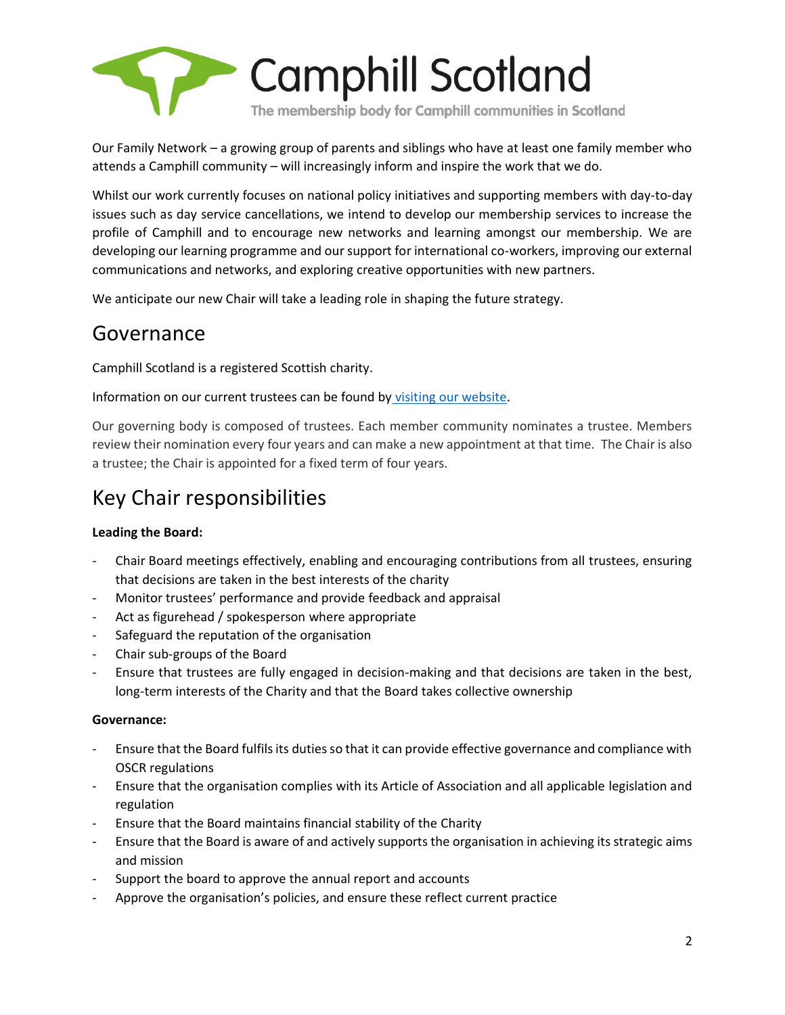

Our Family Network – a growing group of parents and siblings who have at least one family member who attends a Camphill community – will increasingly inform and inspire the work that we do.

Whilst our work currently focuses on national policy initiatives and supporting members with day-to-day issues such as day service cancellations, we intend to develop our membership services to increase the profile of Camphill and to encourage new networks and learning amongst our membership. We are developing our learning programme and our support for international co-workers, improving our external communications and networks, and exploring creative opportunities with new partners.

We anticipate our new Chair will take a leading role in shaping the future strategy.

### Governance

Camphill Scotland is a registered Scottish charity.

Information on our current trustees can be found by [visiting our website.](https://www.camphillscotland.org.uk/camphill-scotland/trustees-and-governance/)

Our governing body is composed of trustees. Each member community nominates a trustee. Members review their nomination every four years and can make a new appointment at that time. The Chair is also a trustee; the Chair is appointed for a fixed term of four years.

## Key Chair responsibilities

### **Leading the Board:**

- Chair Board meetings effectively, enabling and encouraging contributions from all trustees, ensuring that decisions are taken in the best interests of the charity
- Monitor trustees' performance and provide feedback and appraisal
- Act as figurehead / spokesperson where appropriate
- Safeguard the reputation of the organisation
- Chair sub-groups of the Board
- Ensure that trustees are fully engaged in decision-making and that decisions are taken in the best, long-term interests of the Charity and that the Board takes collective ownership

#### **Governance:**

- Ensure that the Board fulfils its duties so that it can provide effective governance and compliance with OSCR regulations
- Ensure that the organisation complies with its Article of Association and all applicable legislation and regulation
- Ensure that the Board maintains financial stability of the Charity
- Ensure that the Board is aware of and actively supports the organisation in achieving its strategic aims and mission
- Support the board to approve the annual report and accounts
- Approve the organisation's policies, and ensure these reflect current practice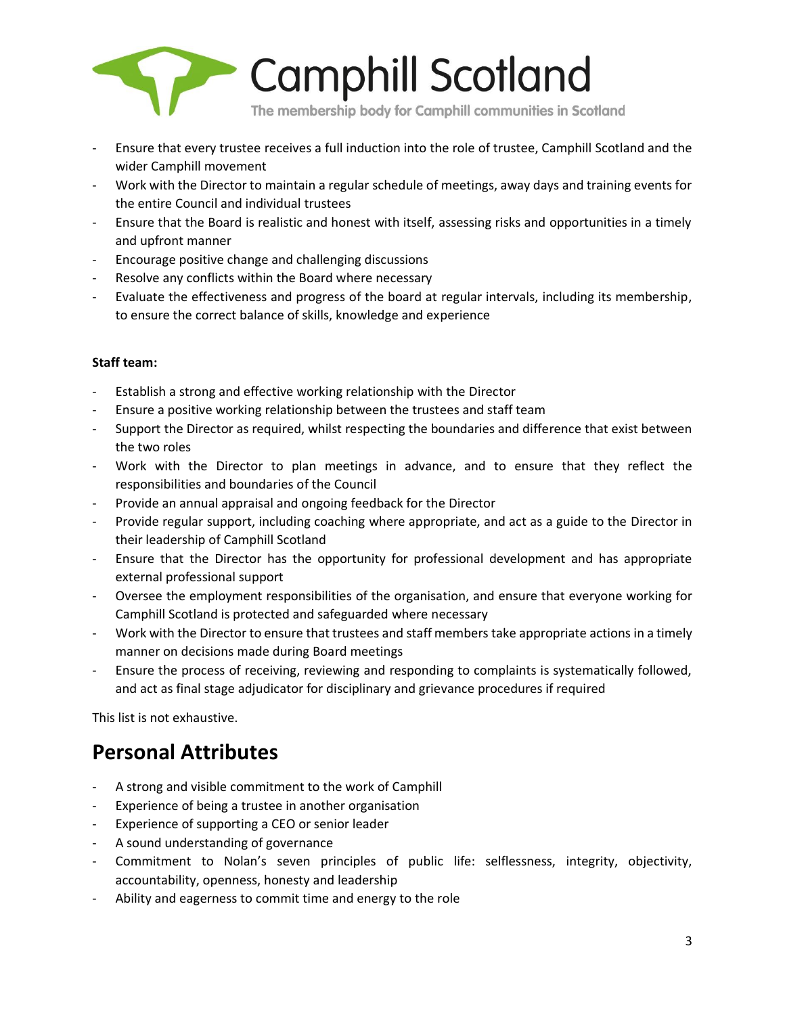

- Ensure that every trustee receives a full induction into the role of trustee, Camphill Scotland and the wider Camphill movement
- Work with the Director to maintain a regular schedule of meetings, away days and training events for the entire Council and individual trustees
- Ensure that the Board is realistic and honest with itself, assessing risks and opportunities in a timely and upfront manner
- Encourage positive change and challenging discussions
- Resolve any conflicts within the Board where necessary
- Evaluate the effectiveness and progress of the board at regular intervals, including its membership, to ensure the correct balance of skills, knowledge and experience

### **Staff team:**

- Establish a strong and effective working relationship with the Director
- Ensure a positive working relationship between the trustees and staff team
- Support the Director as required, whilst respecting the boundaries and difference that exist between the two roles
- Work with the Director to plan meetings in advance, and to ensure that they reflect the responsibilities and boundaries of the Council
- Provide an annual appraisal and ongoing feedback for the Director
- Provide regular support, including coaching where appropriate, and act as a guide to the Director in their leadership of Camphill Scotland
- Ensure that the Director has the opportunity for professional development and has appropriate external professional support
- Oversee the employment responsibilities of the organisation, and ensure that everyone working for Camphill Scotland is protected and safeguarded where necessary
- Work with the Director to ensure that trustees and staff members take appropriate actions in a timely manner on decisions made during Board meetings
- Ensure the process of receiving, reviewing and responding to complaints is systematically followed, and act as final stage adjudicator for disciplinary and grievance procedures if required

This list is not exhaustive.

### **Personal Attributes**

- A strong and visible commitment to the work of Camphill
- Experience of being a trustee in another organisation
- Experience of supporting a CEO or senior leader
- A sound understanding of governance
- Commitment to Nolan's seven principles of public life: selflessness, integrity, objectivity, accountability, openness, honesty and leadership
- Ability and eagerness to commit time and energy to the role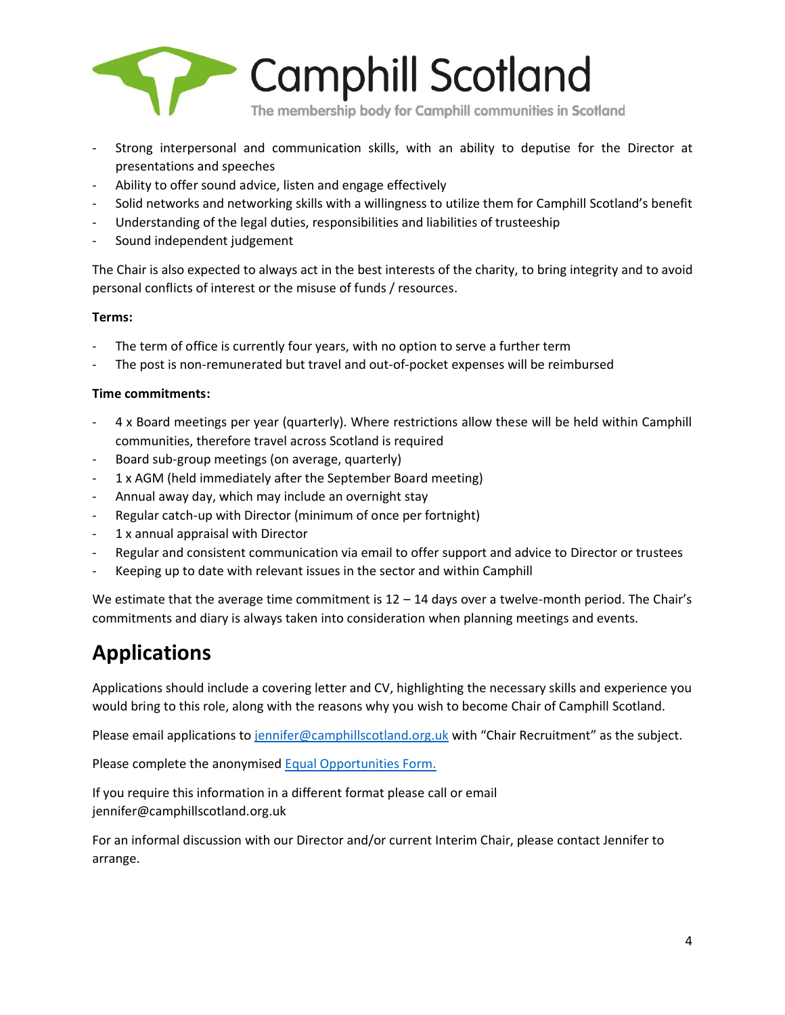

- Strong interpersonal and communication skills, with an ability to deputise for the Director at presentations and speeches
- Ability to offer sound advice, listen and engage effectively
- Solid networks and networking skills with a willingness to utilize them for Camphill Scotland's benefit
- Understanding of the legal duties, responsibilities and liabilities of trusteeship
- Sound independent judgement

The Chair is also expected to always act in the best interests of the charity, to bring integrity and to avoid personal conflicts of interest or the misuse of funds / resources.

### **Terms:**

- The term of office is currently four years, with no option to serve a further term
- The post is non-remunerated but travel and out-of-pocket expenses will be reimbursed

#### **Time commitments:**

- 4 x Board meetings per year (quarterly). Where restrictions allow these will be held within Camphill communities, therefore travel across Scotland is required
- Board sub-group meetings (on average, quarterly)
- 1 x AGM (held immediately after the September Board meeting)
- Annual away day, which may include an overnight stay
- Regular catch-up with Director (minimum of once per fortnight)
- 1 x annual appraisal with Director
- Regular and consistent communication via email to offer support and advice to Director or trustees
- Keeping up to date with relevant issues in the sector and within Camphill

We estimate that the average time commitment is  $12 - 14$  days over a twelve-month period. The Chair's commitments and diary is always taken into consideration when planning meetings and events.

## **Applications**

Applications should include a covering letter and CV, highlighting the necessary skills and experience you would bring to this role, along with the reasons why you wish to become Chair of Camphill Scotland.

Please email applications t[o jennifer@camphillscotland.org.uk](mailto:jennifer@camphillscotland.org.uk) with "Chair Recruitment" as the subject.

Please complete the anonymised [Equal Opportunities Form.](https://forms.office.com/Pages/ResponsePage.aspx?id=mLfJKiFUVUKQO8OwKgxJC3hAOK9LD9dNstT1Tg_-j39UMVE4UDZWVllPQlZNQjNLVDhOSEdHNzY0UC4u)

If you require this information in a different format please call or email jennifer@camphillscotland.org.uk

For an informal discussion with our Director and/or current Interim Chair, please contact Jennifer to arrange.